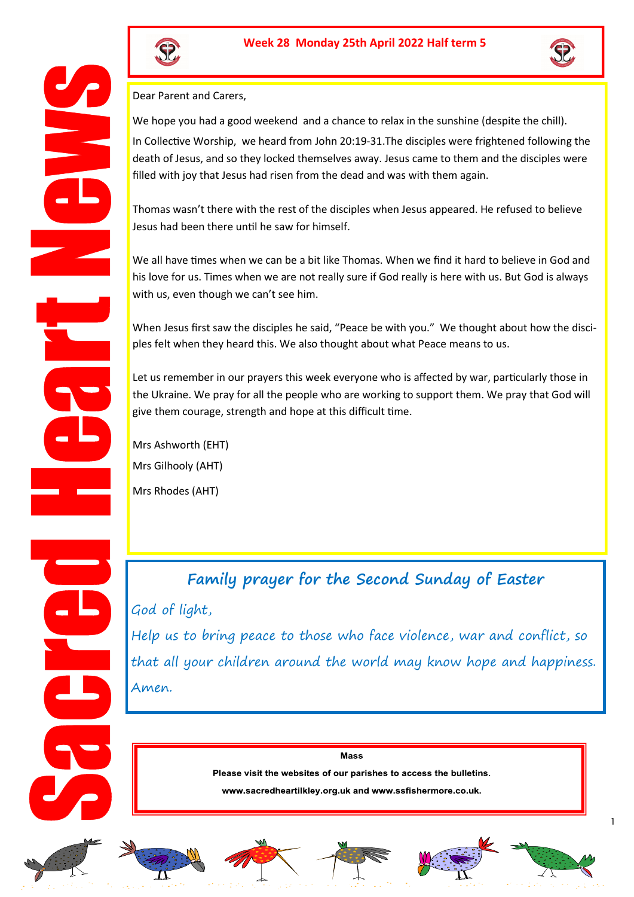



Dear Parent and Carers,

We hope you had a good weekend and a chance to relax in the sunshine (despite the chill). In Collective Worship, we heard from John 20:19-31.The disciples were frightened following the death of Jesus, and so they locked themselves away. Jesus came to them and the disciples were filled with joy that Jesus had risen from the dead and was with them again.

Thomas wasn't there with the rest of the disciples when Jesus appeared. He refused to believe Jesus had been there until he saw for himself.

We all have times when we can be a bit like Thomas. When we find it hard to believe in God and his love for us. Times when we are not really sure if God really is here with us. But God is always with us, even though we can't see him.

When Jesus first saw the disciples he said, "Peace be with you." We thought about how the disciples felt when they heard this. We also thought about what Peace means to us.

Let us remember in our prayers this week everyone who is affected by war, particularly those in the Ukraine. We pray for all the people who are working to support them. We pray that God will give them courage, strength and hope at this difficult time.

Mrs Ashworth (EHT) Mrs Gilhooly (AHT) Mrs Rhodes (AHT)

**Family prayer for the Second Sunday of Easter** God of light, Help us to bring peace to those who face violence, war and conflict, so that all your children around the world may know hope and happiness. Amen.

> **Mass** Please visit the websites of our parishes to access the bulletins.

www.sacredheartilkley.org.uk and www.ssfishermore.co.uk.











1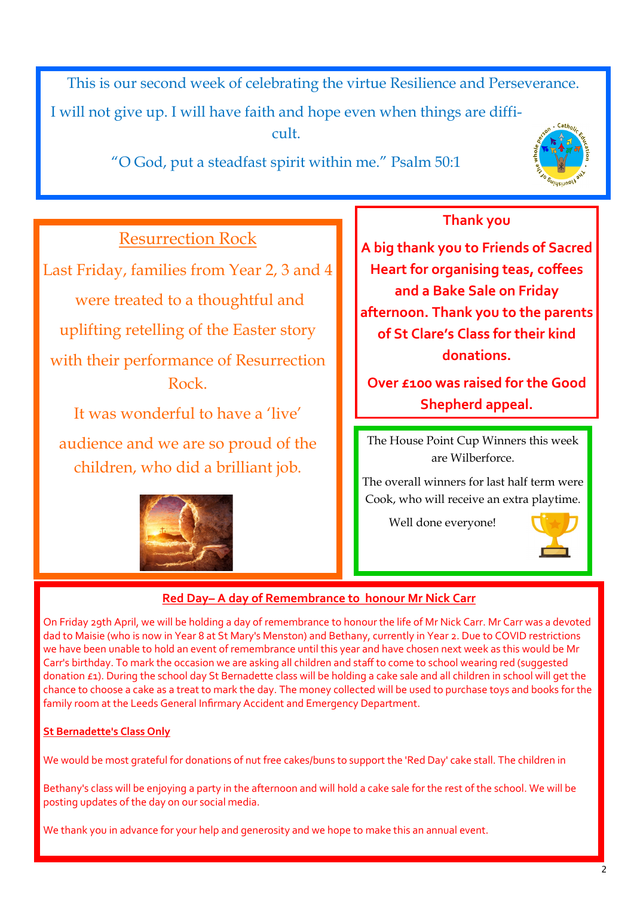This is our second week of celebrating the virtue Resilience and Perseverance.

I will not give up. I will have faith and hope even when things are difficult.

"O God, put a steadfast spirit within me." Psalm 50:1



# Resurrection Rock

Last Friday, families from Year 2, 3 and 4 were treated to a thoughtful and uplifting retelling of the Easter story with their performance of Resurrection Rock.

It was wonderful to have a 'live' audience and we are so proud of the children, who did a brilliant job.



# **Thank you**

**A big thank you to Friends of Sacred Heart for organising teas, coffees and a Bake Sale on Friday afternoon. Thank you to the parents of St Clare's Class for their kind donations.**

**Over £100 was raised for the Good Shepherd appeal.** 

The House Point Cup Winners this week are Wilberforce.

The overall winners for last half term were Cook, who will receive an extra playtime.

Well done everyone!



## **Red Day– A day of Remembrance to honour Mr Nick Carr**

On Friday 29th April, we will be holding a day of remembrance to honour the life of Mr Nick Carr. Mr Carr was a devoted dad to Maisie (who is now in Year 8 at St Mary's Menston) and Bethany, currently in Year 2. Due to COVID restrictions we have been unable to hold an event of remembrance until this year and have chosen next week as this would be Mr Carr's birthday. To mark the occasion we are asking all children and staff to come to school wearing red (suggested donation £1). During the school day St Bernadette class will be holding a cake sale and all children in school will get the chance to choose a cake as a treat to mark the day. The money collected will be used to purchase toys and books for the family room at the Leeds General Infirmary Accident and Emergency Department.

#### **St Bernadette's Class Only**

We would be most grateful for donations of nut free cakes/buns to support the 'Red Day' cake stall. The children in

Bethany's class will be enjoying a party in the afternoon and will hold a cake sale for the rest of the school. We will be posting updates of the day on our social media.

We thank you in advance for your help and generosity and we hope to make this an annual event.